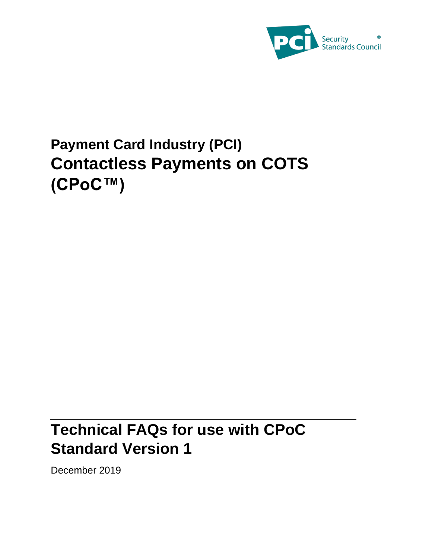

# **Payment Card Industry (PCI) Contactless Payments on COTS (CPoC™)**

# **Technical FAQs for use with CPoC Standard Version 1**

December 2019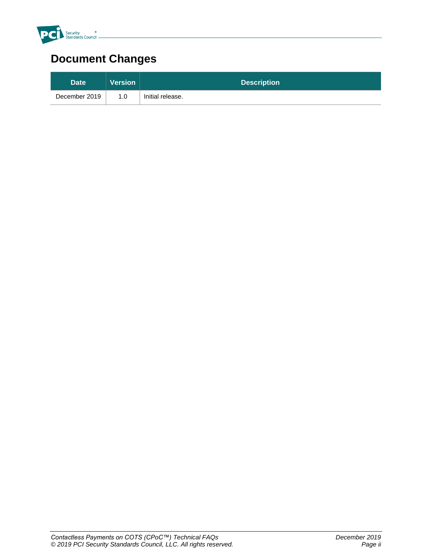

# **Document Changes**

| Date <sup>'</sup> | <b>Version</b> | <b>Description</b> |
|-------------------|----------------|--------------------|
| December 2019     | 1.0            | Initial release.   |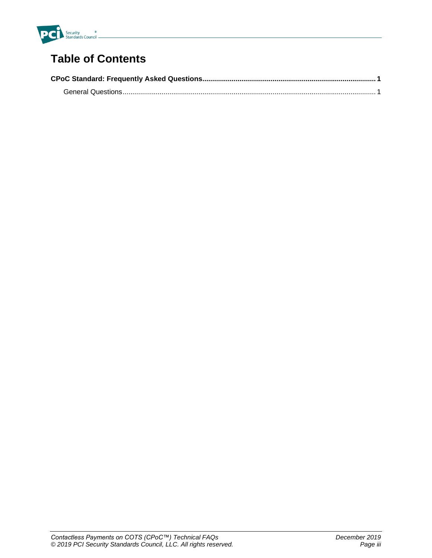

# **Table of Contents**